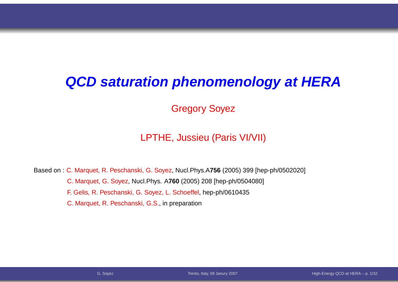#### **QCD saturation phenomenology at HERA**

Gregory Soyez

#### LPTHE, Jussieu (Paris VI/VII)

Based on : C. Marquet, R. Peschanski, G. Soyez, Nucl.Phys.A**756** (2005) <sup>399</sup> [hep-ph/0502020] C. Marquet, G. Soyez, Nucl.Phys. A**760** (2005) <sup>208</sup> [hep-ph/0504080] F. Gelis, R. Peschanski, G. Soyez, L. Schoeffel, hep-ph/0610435C. Marquet, R. Peschanski, G.S., in preparation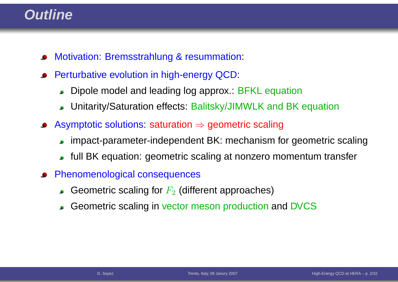### **Outline**

- Motivation: Bremsstrahlung & resummation:
- Perturbative evolution in high-energy QCD:
	- Dipole model and leading log approx.: BFKL equation $\bullet$
	- Unitarity/Saturation effects: Balitsky/JIMWLK and BK equation
- Asymptotic solutions: saturation <sup>⇒</sup> geometric scaling
	- impact-parameter-independent BK: mechanism for geometric scaling
	- full BK equation: geometric scaling at nonzero momentum transfer
- Phenomenological consequences
	- Geometric scaling for  $F_2$  (different approaches)
	- Geometric scaling in vector meson production and DVCS $\bullet$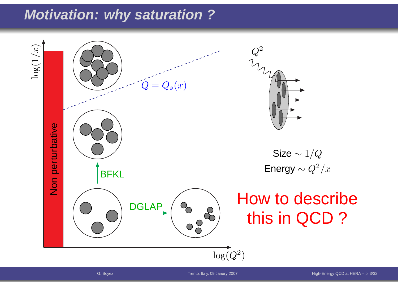# **Motivation: why saturation ?**

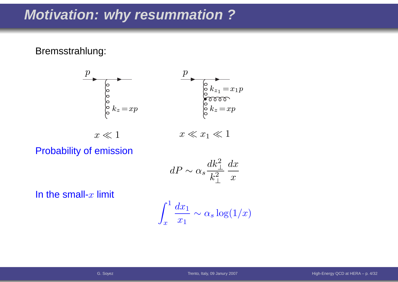### **Motivation: why resummation ?**

#### Bremsstrahlung:



Probability of emission

$$
dP \sim \alpha_s \frac{dk_\perp^2}{k_\perp^2} \frac{dx}{x}
$$

In the small- $x$  limit

$$
\int_x^1 \frac{dx_1}{x_1} \sim \alpha_s \log(1/x)
$$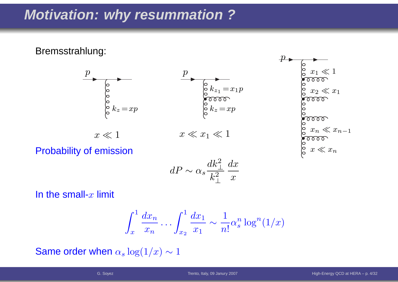# **Motivation: why resummation ?**

Bremsstrahlung:



Probability of emission

$$
dP \sim \alpha_s \frac{dk_\perp^2}{k_\perp^2} \frac{dx}{x}
$$

In the small- $x$  limit

$$
\int_x^1 \frac{dx_n}{x_n} \dots \int_{x_2}^1 \frac{dx_1}{x_1} \sim \frac{1}{n!} \alpha_s^n \log^n(1/x)
$$

Same order when  $\alpha_s \log(1/x) \sim 1$ 

 $\mathcal{X}% =\mathbb{R}^{2}\times\mathbb{R}^{2}$ 

 $\ll x$ 

 $\,n$ 

 $\, n \,$ 

1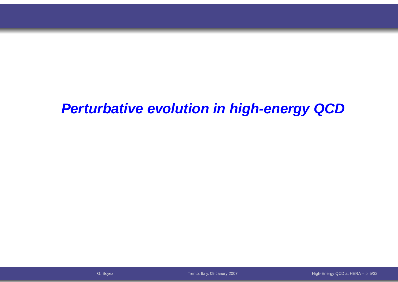### **Perturbative evolution in high-energy QCD**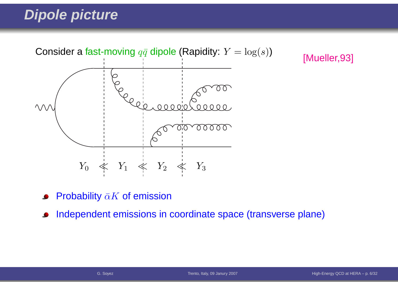# **Dipole picture**



[Mueller,93]

- Probability  $\bar{\alpha}K$  of emission
- Independent emissions in coordinate space (transverse plane) $\bullet$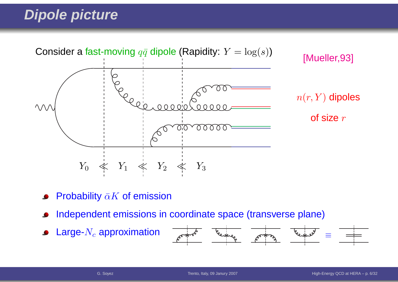# **Dipole picture**



- Probability  $\bar{\alpha}K$  of emission
- Independent emissions in coordinate space (transverse plane)
- Large- $N_c$  approximation  $\bullet$

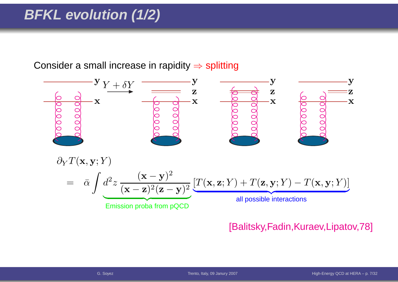# **BFKL evolution (1/2)**

Consider a small increase in rapidity  $\Rightarrow$  splitting



#### [Balitsky,Fadin,Kuraev,Lipatov,78]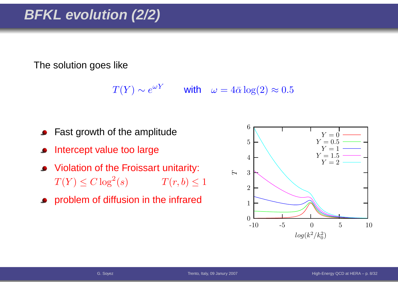# **BFKL evolution (2/2)**

The solution goes like

 $T(Y) \sim e^{\omega Y}$  with  $\omega = 4\bar{\alpha} \log(2) \approx 0.5$ 

- Fast growth of the amplitude
- Intercept value too large
- Violation of the Froissart unitarity:  $T(Y) \leq C \log^2$  $T(r, b) \leq 1$
- **•** problem of diffusion in the infrared

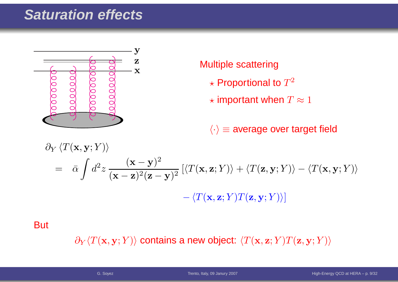# **Saturation effects**



#### Multiple scattering

- $\star$  Proportional to  $T^2$
- $\star$  important when  $T\approx 1$

 $\langle \cdot \rangle$   $\equiv$  average over target field

$$
\partial_Y \langle T(\mathbf{x}, \mathbf{y}; Y) \rangle
$$
  
=  $\bar{\alpha} \int d^2 z \frac{(\mathbf{x} - \mathbf{y})^2}{(\mathbf{x} - \mathbf{z})^2 (\mathbf{z} - \mathbf{y})^2} \left[ \langle T(\mathbf{x}, \mathbf{z}; Y) \rangle + \langle T(\mathbf{z}, \mathbf{y}; Y) \rangle - \langle T(\mathbf{x}, \mathbf{y}; Y) \rangle \right]$   
-  $\langle T(\mathbf{x}, \mathbf{z}; Y) T(\mathbf{z}, \mathbf{y}; Y) \rangle$ 

**But** 

 $\partial_Y \langle T(\mathbf{x},\mathbf{y}; Y) \rangle$  contains a new object:  $\langle T(\mathbf{x},\mathbf{z}; Y) T(\mathbf{z},\mathbf{y}; Y) \rangle$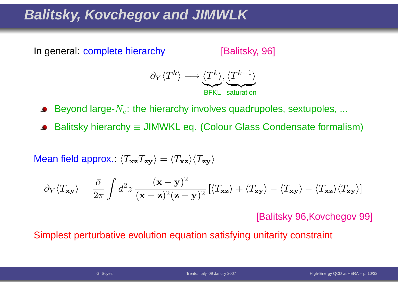# **Balitsky, Kovchegov and JIMWLK**



[Balitsky, 96]



Beyond large- $N_c$ : the hierarchy involves quadrupoles, sextupoles, ...

Balitsky hierarchy  $\equiv$  JIMWKL eq. (Colour Glass Condensate formalism)

Mean field approx.:  $\langle T_{\bf x z}T_{\bf z y}\rangle=\langle T_{\bf x z}\rangle\langle T_{\bf z y}\rangle$ 

$$
\partial_Y \langle T_{\mathbf{x} \mathbf{y}} \rangle = \frac{\bar{\alpha}}{2\pi} \int d^2 z \, \frac{(\mathbf{x} - \mathbf{y})^2}{(\mathbf{x} - \mathbf{z})^2 (\mathbf{z} - \mathbf{y})^2} \left[ \langle T_{\mathbf{x} \mathbf{z}} \rangle + \langle T_{\mathbf{z} \mathbf{y}} \rangle - \langle T_{\mathbf{x} \mathbf{z}} \rangle \langle T_{\mathbf{z} \mathbf{y}} \rangle \right]
$$

[Balitsky 96,Kovchegov 99]

Simplest perturbative evolution equation satisfying unitarity constraint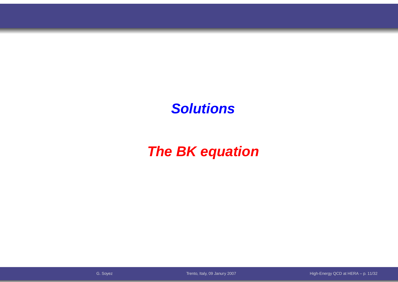### **Solutions**

# **The BK equation**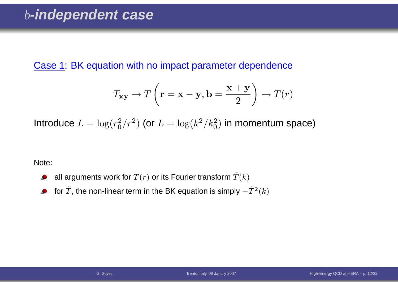Case 1: BK equation with no impact parameter dependence

$$
T_{\mathbf{xy}} \to T\left(\mathbf{r} = \mathbf{x} - \mathbf{y}, \mathbf{b} = \frac{\mathbf{x} + \mathbf{y}}{2}\right) \to T(r)
$$

Introduce  $L = \log(r_0^2/r^2)$  (or  $L = \log(k^2/k_0^2)$  in momentum space)

Note:

- all arguments work for  $T(r)$  or its Fourier transform  $\tilde T(k)$  $\bullet$
- for  $\tilde{T}$ , the non-linear term in the BK equation is simply  $-\tilde{T}^{2}(k)$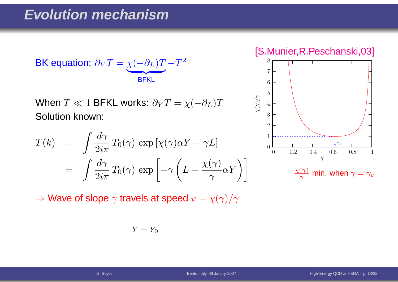$$
\text{BK equation: } \partial_Y T = \underbrace{\chi(-\partial_L)T}_{\text{BFKL}} - T^2
$$

When  $T\ll 1$  BFKL works:  $\partial_{Y}T=\chi($  Solution known:  $-\partial_L)T$ 

$$
T(k) = \int \frac{d\gamma}{2i\pi} T_0(\gamma) \exp\left[\chi(\gamma)\bar{\alpha}Y - \gamma L\right]
$$
  
= 
$$
\int \frac{d\gamma}{2i\pi} T_0(\gamma) \exp\left[-\gamma \left(L - \frac{\chi(\gamma)}{\gamma} \bar{\alpha}Y\right)\right]
$$

 $\Rightarrow$  Wave of slope  $\gamma$  travels at speed  $v=\chi(\gamma)/\gamma$ 

$$
Y = Y_0
$$

[S.Munier,R.Peschanski,03]

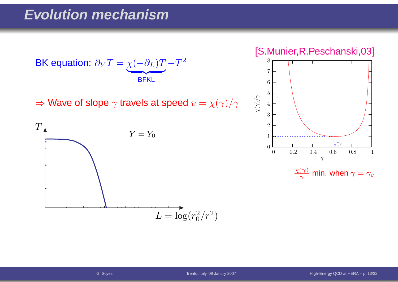

 $\Rightarrow$  Wave of slope  $\gamma$  travels at speed  $v=\chi(\gamma)/\gamma$ 



[S.Munier,R.Peschanski,03]

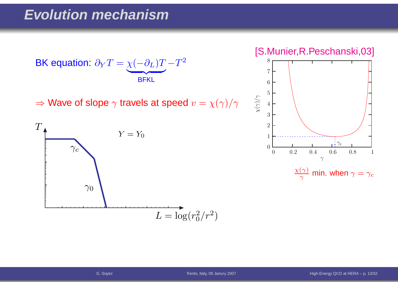$$
\text{BK equation: } \partial_Y T = \underbrace{\chi(-\partial_L)T}_{\text{BFKL}} - T^2
$$

 $\Rightarrow$  Wave of slope  $\gamma$  travels at speed  $v=\chi(\gamma)/\gamma$ 



[S.Munier,R.Peschanski,03]



 $\frac{\chi(\gamma)}{\gamma}$  min. when  $\gamma=\gamma_c$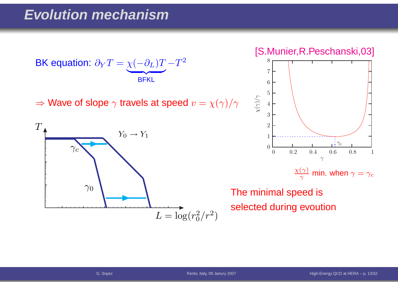$$
\text{BK equation: } \partial_Y T = \underbrace{\chi(-\partial_L)T}_{\text{BFKL}} - T^2
$$

 $\Rightarrow$  Wave of slope  $\gamma$  travels at speed  $v=\chi(\gamma)/\gamma$ 



[S.Munier,R.Peschanski,03]



The minimal speed isselected during evoution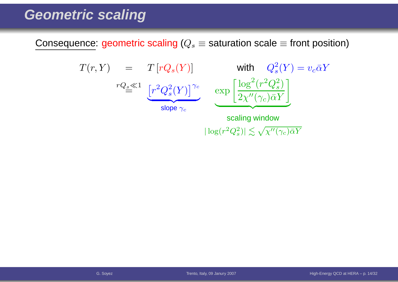Consequence: geometric scaling ( $Q_s\equiv$  saturation scale  $\equiv$  front position)

$$
T(r, Y) = T[rQ_s(Y)] \text{ with } Q_s^2(Y) = v_c \bar{\alpha}Y
$$
  

$$
rQ_s \ll 1 \underbrace{[r^2Q_s^2(Y)]^{\gamma_c}}_{\text{slope } \gamma_c} \exp \left[ \frac{\log^2(r^2Q_s^2)}{2\chi''(\gamma_c)\bar{\alpha}Y} \right]
$$
  
scaling window

 $|\log(r^2Q_s^2)| \lesssim \sqrt{\chi''(\gamma_c)\bar{\alpha}Y}$ 

G. Soyez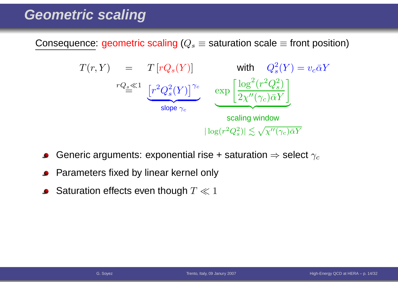Consequence: geometric scaling ( $Q_s\equiv$  saturation scale  $\equiv$  front position)



- Generic arguments: exponential rise + saturation  $\Rightarrow$  select  $\gamma_c$
- Parameters fixed by linear kernel only
- Saturation effects even though  $T \ll 1$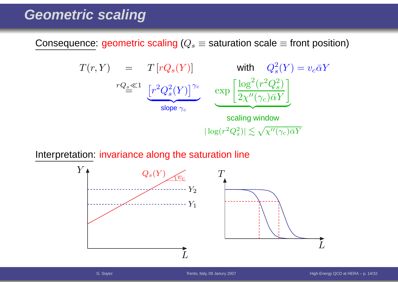Consequence: geometric scaling ( $Q_s\equiv$  saturation scale  $\equiv$  front position)



Interpretation: invariance along the saturation line

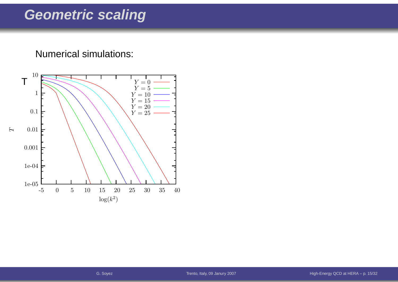#### Numerical simulations:

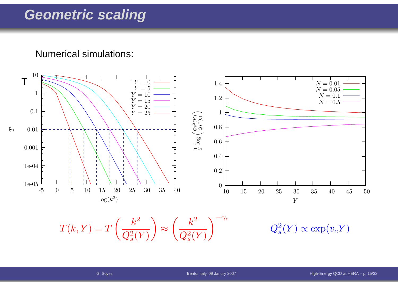Numerical simulations:



 $T(k, Y) = T\left(\frac{k^2}{Q_s^2(Y)}\right) \approx \left(\frac{k^2}{Q_s^2(Y)}\right)^{-\gamma_c} \qquad \qquad Q_s^2(Y) \propto \exp(v_c Y)$ 

Trento, Italy, <sup>09</sup> Janury <sup>2007</sup>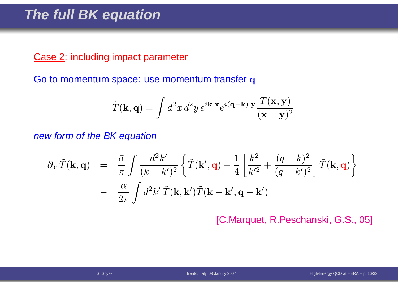#### **The full BK equation**

#### Case 2: including impact parameter

Go to momentum space: use momentum transfer  ${\bf q}$ 

$$
\tilde{T}(\mathbf{k}, \mathbf{q}) = \int d^2x \, d^2y \, e^{i\mathbf{k} \cdot \mathbf{x}} e^{i(\mathbf{q} - \mathbf{k}) \cdot \mathbf{y}} \frac{T(\mathbf{x}, \mathbf{y})}{(\mathbf{x} - \mathbf{y})^2}
$$

new form of the BK equation

$$
\partial_Y \tilde{T}(\mathbf{k}, \mathbf{q}) = \frac{\bar{\alpha}}{\pi} \int \frac{d^2 k'}{(k - k')^2} \left\{ \tilde{T}(\mathbf{k}', \mathbf{q}) - \frac{1}{4} \left[ \frac{k^2}{k'^2} + \frac{(q - k)^2}{(q - k')^2} \right] \tilde{T}(\mathbf{k}, \mathbf{q}) \right\} - \frac{\bar{\alpha}}{2\pi} \int d^2 k' \tilde{T}(\mathbf{k}, \mathbf{k}') \tilde{T}(\mathbf{k} - \mathbf{k}', \mathbf{q} - \mathbf{k}')
$$

[C.Marquet, R.Peschanski, G.S., 05]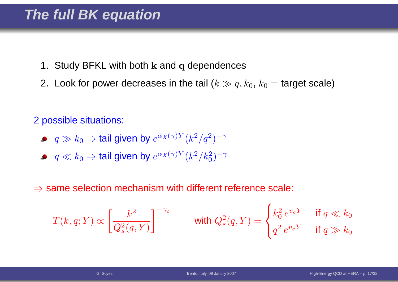- 1. Study BFKL with both  ${\bf k}$  and  ${\bf q}$  dependences
- 2. Look for power decreases in the tail ( $k \gg q, k_0, \, k_0 \equiv$  target scale)

2 possible situations:

- $q\gg k_0$   $\Rightarrow$  tail given by  $e^{\bar{\alpha}\chi(\gamma)Y}(k^2/q^2)$  $^{(2)})^{-\gamma}$
- $q \ll k_0 \Rightarrow$  tail given by  $e^{\bar{\alpha}\chi(\gamma)Y}(k^2/k_0^2)$  $\binom{2}{0}$ −γ

 $\Rightarrow$  same selection mechanism with different reference scale:

$$
T(k,q;Y) \propto \left[\frac{k^2}{Q_s^2(q,Y)}\right]^{-\gamma_c}
$$
 with  $Q_s^2(q,Y) = \begin{cases} k_0^2 e^{v_c Y} & \text{if } q \ll k_0 \\ q^2 e^{v_c Y} & \text{if } q \gg k_0 \end{cases}$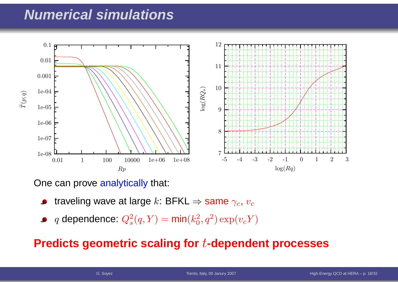### **Numerical simulations**



One can prove <mark>analytically</mark> that:

- traveling wave at large  $k$ : BFKL  $\Rightarrow$  same  $\gamma_c$ ,  $v_c$
- $q$  dependence:  $Q_s^2$  $s^2(q,Y) = \textsf{min}(k_0^2)$  $_0^2, q^2) \exp(v_c Y)$

#### **Predicts geometric scaling for**t**-dependent processes**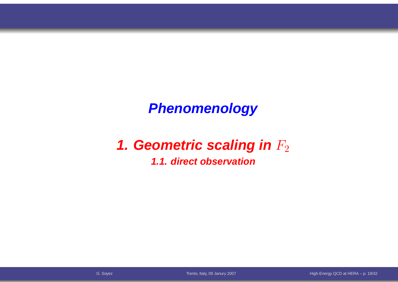# **Phenomenology**

# **1. Geometric scaling in**  $F_2$

#### **1.1. direct observation**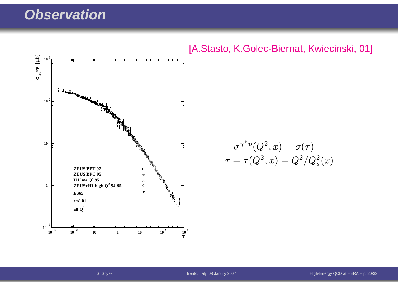#### **Observation**



#### [A.Stasto, K.Golec-Biernat, Kwiecinski, 01]

$$
\sigma^{\gamma^* p}(Q^2, x) = \sigma(\tau)
$$

$$
\tau = \tau(Q^2, x) = Q^2/Q_s^2(x)
$$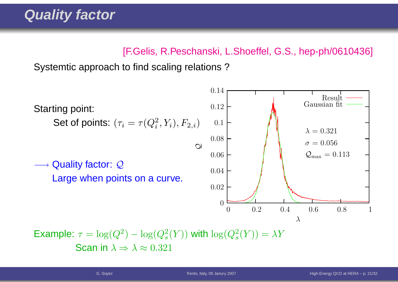#### [F.Gelis, R.Peschanski, L.Shoeffel, G.S., hep-ph/0610436]

Systemtic approach to find scaling relations ?



Example:  $\tau = \log(Q^2) - \log(Q_s^2(Y))$  with  $\log(Q_s^2(Y)) = \lambda Y$ Scan in  $\lambda \Rightarrow \lambda \approx 0.321$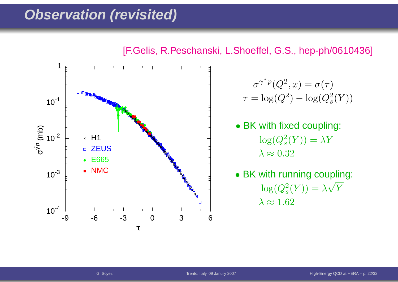#### **Observation (revisited)**

![](_page_29_Figure_1.jpeg)

[F.Gelis, R.Peschanski, L.Shoeffel, G.S., hep-ph/0610436]

$$
\sigma^{\gamma^* p}(Q^2, x) = \sigma(\tau)
$$

$$
\tau = \log(Q^2) - \log(Q_s^2(Y))
$$

- BK with fixed coupling:  $\log(Q_s^2$  $\lambda\approx0.32$  $S^2(S) = \lambda Y$
- BK with running coupling:  $\log(Q_s^2$  $\lambda \approx 1.62$  $\lambda_s^2(Y)) = \lambda \sqrt{Y}$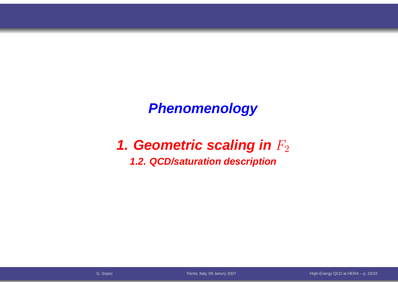## **Phenomenology**

# **1. Geometric scaling in**  $F_2$

#### **1.2. QCD/saturation description**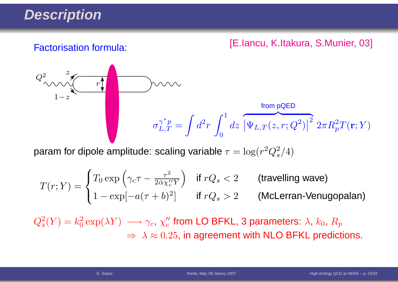# **Description**

#### [E.Iancu, K.Itakura, S.Munier, 03] Factorisation formula:

$$
Q_{\text{max}}^2
$$
\n
$$
\sigma_{L,T}^{\gamma^* p} = \int d^2 r \int_0^1 dz \, \left| \overline{\Psi_{L,T}(z,r;Q^2)} \right|^2 2\pi R_p^2 T(\mathbf{r};Y)
$$

param for dipole amplitude: scaling variable  $\tau = \log(r^2 Q_s^2/4)$ 

$$
T(r;Y) = \begin{cases} T_0 \exp\left(\gamma_c \tau - \frac{\tau^2}{2\bar{\alpha}\chi_c''Y}\right) & \text{if } rQ_s < 2 \\ 1 - \exp[-a(\tau + b)^2] & \text{if } rQ_s > 2 \end{cases} \quad \text{(McLerran-Venugopalan)}
$$

 $Q_s^2(Y) = k_0^2 \exp(\lambda Y) \; \longrightarrow \gamma_c, \, \chi_c''$  from LO BFKL, 3 parameters:  $\lambda, \, k_0, \, R_p$  $\Rightarrow \ \lambda \approx 0.25$ , in agreement with NLO BFKL predictions.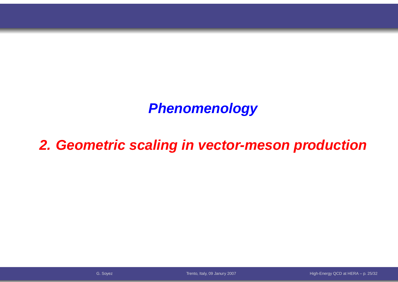# **Phenomenology**

# **2. Geometric scaling in vector-meson production**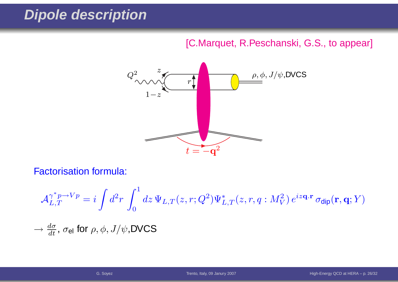# **Dipole description**

#### [C.Marquet, R.Peschanski, G.S., to appear]

![](_page_33_Picture_2.jpeg)

Factorisation formula:

$$
\mathcal{A}_{L,T}^{\gamma^* p \to Vp} = i \int d^2 r \int_0^1 dz \, \Psi_{L,T}(z,r;Q^2) \Psi_{L,T}^*(z,r,q:M_V^2) \, e^{iz\mathbf{q} \cdot \mathbf{r}} \, \sigma_{\text{dip}}(\mathbf{r},\mathbf{q};Y)
$$
  

$$
\to \frac{d\sigma}{dt}, \, \sigma_{\text{el}} \text{ for } \rho, \phi, J/\psi, \text{DVCS}
$$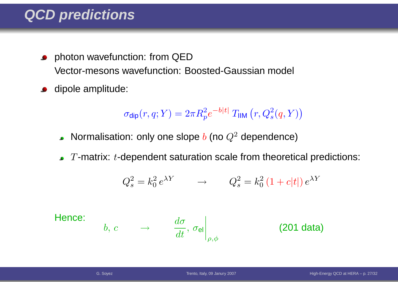## **QCD predictions**

- photon wavefunction: from QED $\bullet$ Vector-mesons wavefunction: Boosted-Gaussian model
- dipole amplitude:  $\bullet$

$$
\sigma_{\text{dip}}(r, q; Y) = 2\pi R_p^2 e^{-b|t|} T_{\text{IIM}}(r, Q_s^2(q, Y))
$$

- Normalisation: only one slope  $b$  (no  $Q^2$  dependence)
- $T$ -matrix:  $t$ -dependent saturation scale from theoretical predictions:

$$
Q_s^2 = k_0^2 e^{\lambda Y} \qquad \rightarrow \qquad Q_s^2 = k_0^2 \left(1 + c|t|\right) e^{\lambda Y}
$$

Hence:

$$
b, c \qquad \rightarrow \qquad \left. \frac{d\sigma}{dt}, \, \sigma_{\mathsf{el}} \right|_{\rho, \phi} \qquad \qquad \textbf{(201 data)}
$$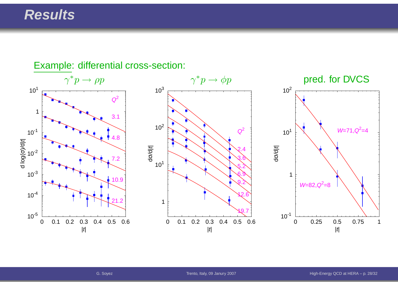#### **Results**

![](_page_35_Figure_1.jpeg)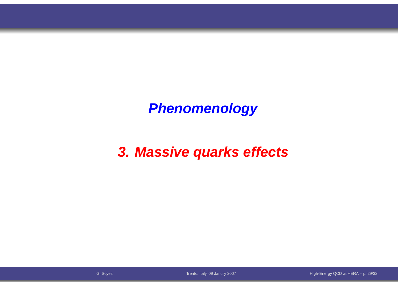# **Phenomenology**

# **3. Massive quarks effects**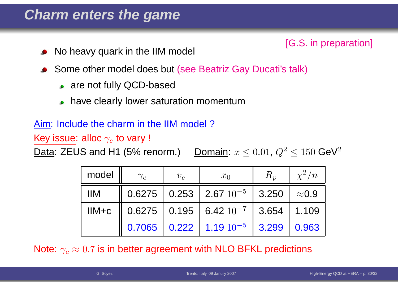### **Charm enters the game**

- [G.S. in preparation] No heavy quark in the IIM model
- Some other model does but (see Beatriz Gay Ducati's talk)
	- are not fully QCD-based
	- have clearly lower saturation momentum

#### Aim: Include the charm in the IIM model ?

Key issue: alloc  $\gamma_c$  to vary !

Data: ZEUS and H1 (5% renorm.)  $\leq 0.01,\,Q^2$  $^2 \le 150$  GeV<sup>2</sup>

| model                              | $\gamma_c$ | $v_c$ | $x_0$                                                                                                       | $R_p$ | $\chi^2/n$ |
|------------------------------------|------------|-------|-------------------------------------------------------------------------------------------------------------|-------|------------|
| $\mathsf{I} \mathsf{I} \mathsf{M}$ |            |       | $\parallel$ 0.6275 $\parallel$ 0.253 $\parallel$ 2.67 $10^{-5}$ $\parallel$ 3.250 $\parallel$ $\approx$ 0.9 |       |            |
| $IIM + c$                          |            |       | $\parallel$ 0.6275 $\parallel$ 0.195 $\parallel$ 6.42 $10^{-7}$ $\parallel$ 3.654 $\parallel$ 1.109         |       |            |
|                                    |            |       | $0.7065$   $0.222$   $1.19$ $10^{-5}$   3.299                                                               |       | 0.963      |

Note:  $\gamma_c\approx0.7$  is in better agreement with NLO BFKL predictions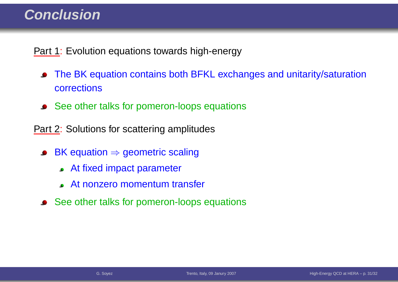### **Conclusion**

Part 1: Evolution equations towards high-energy

- The BK equation contains both BFKL exchanges and unitarity/saturation $\bullet$ corrections
- See other talks for pomeron-loops equations

Part 2: Solutions for scattering amplitudes

- BK equation <sup>⇒</sup> geometric scaling
	- At fixed impact parameter
	- At nonzero momentum transfer
- See other talks for pomeron-loops equations $\bullet$